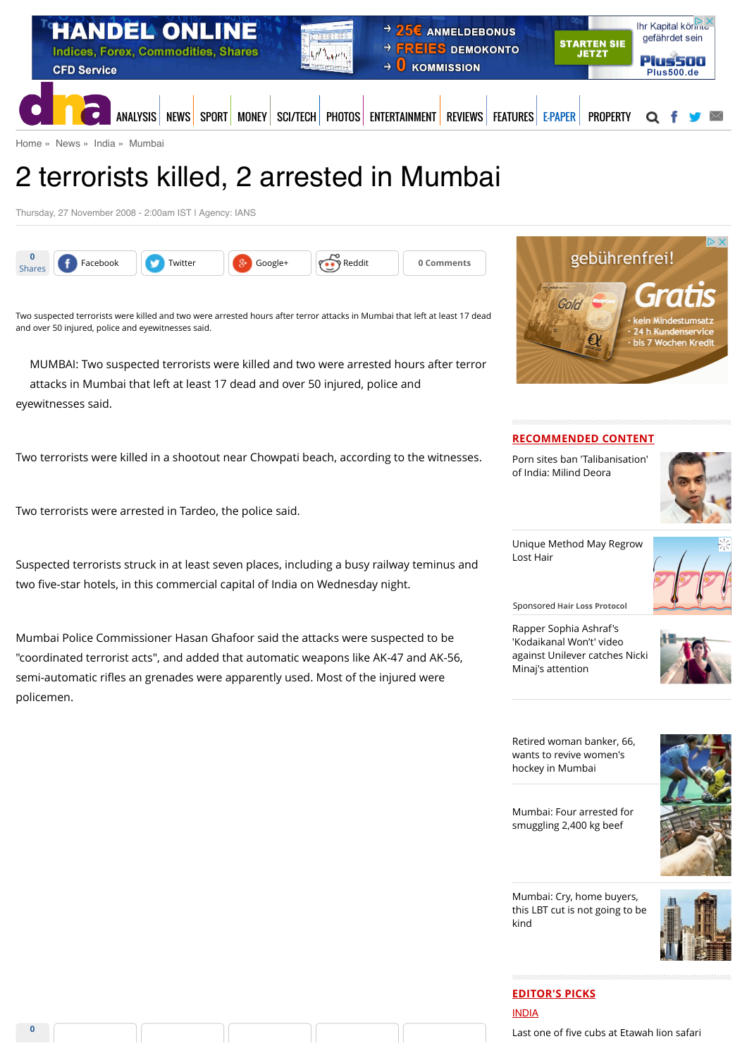

[Home](http://www.dnaindia.com/) » [News](http://www.dnaindia.com/news) » [India](http://www.dnaindia.com/india) » [Mumbai](http://www.dnaindia.com/mumbai)

# 2 terrorists killed, 2 arrested in Mumbai

Thursday, 27 November 2008 - 2:00am IST | Agency: IANS



Two suspected terrorists were killed and two were arrested hours after terror attacks in Mumbai that left at least 17 dead and over 50 injured, police and eyewitnesses said.

MUMBAI: Two suspected terrorists were killed and two were arrested hours after terror attacks in Mumbai that left at least 17 dead and over 50 injured, police and eyewitnesses said.

Two terrorists were killed in a shootout near Chowpati beach, according to the witnesses.

Two terrorists were arrested in Tardeo, the police said.

Suspected terrorists struck in at least seven places, including a busy railway teminus and two five-star hotels, in this commercial capital of India on Wednesday night.

Mumbai Police Commissioner Hasan Ghafoor said the attacks were suspected to be "coordinated terrorist acts", and added that automatic weapons like AK-47 and AK-56, semi-automatic rifles an grenades were apparently used. Most of the injured were policemen.



#### **RECOMMENDED CONTENT**

[Porn sites ban 'Talibanisation'](http://www.dnaindia.com/india/report-porn-sites-ban-talibanisation-of-india-milind-deora-2110734) of India: Milind Deora



[Unique Method May Regrow](https://beap.gemini.yahoo.com/mbclk?bv=1.0.0&es=bKcXsdEGIS.bWspk8nRsL9jfjgNAUAoumLQ4ObQL8KleV5kRHqZunWAzIvJNkEhixpv12dzR1PGnC3Gp8f3nw0max4yBHPXeXVg5N2PQvtPol1Wo.IrJzNbLO9ZuPQXwC4VQK8ROgMsdsMOMisTgRA2iJYVKWdgyJN7uhF7dyRygmzUMEFajskiDCsZUsILwj5Z0RYV0r5DUw4zY.6C07rRr0rbMO7CPfygEP_frQeMalrut7s1C9WzkoGioXgPNuX3Tz8MTnSl1M7fB80oNlYTZKiMDwhpp6cG3UTpOi2obTz60A6GRoL3zT._ZADAPi7eeIcLXe36EbVqwKB73ytJvRCLuFTwiPdoMC2xtzb14BeguTUU0yR0wUh6CBLPvKLGMsepwC9dFeT9UkYOkOQf3XqQntubUCgS_U343p9yy10wDn4RP.Yx8eEbgXhT_KTVVrYvHrzAOxEqAYnk1vsy8Sy5pTk4TqQePNkzTvdqTuMT0JC2KvIlVdhNSxWfHVpHHr7_842pnDvTLmwNc6BCCtsU-%26lp=) Lost Hair



Sponsored **Hair Loss Protocol**

Rapper Sophia Ashraf's 'Kodaikanal Won't' video [against Unilever catches Nicki](http://www.dnaindia.com/india/report-rapper-sophia-ashraf-s-kodaikanal-won-t-video-against-unilever-catches-nicki-minaj-s-attention-2110652) Minaj's attention



[Retired woman banker, 66,](http://www.dnaindia.com/mumbai/report-retired-woman-banker-66-wants-to-revive-women-s-hockey-in-mumbai-2110524) wants to revive women's hockey in Mumbai

[Mumbai: Four arrested for](http://www.dnaindia.com/mumbai/report-mumbai-four-arrested-for-smuggling-2400-kg-beef-2110530) smuggling 2,400 kg beef



Mumbai: Cry, home buyers,

[this LBT cut is not going to be](http://www.dnaindia.com/mumbai/report-mumbai-cry-home-buyers-this-lbt-cut-is-not-going-to-be-kind-2110471)

kind



**EDITOR'S PICKS** [INDIA](http://www.dnaindia.com/india) Last one of fi[ve cubs at Etawah lion safari](http://www.dnaindia.com/india/report-last-one-of-five-cubs-at-etawah-lion-safari-survives-on-cow-milk-2109981)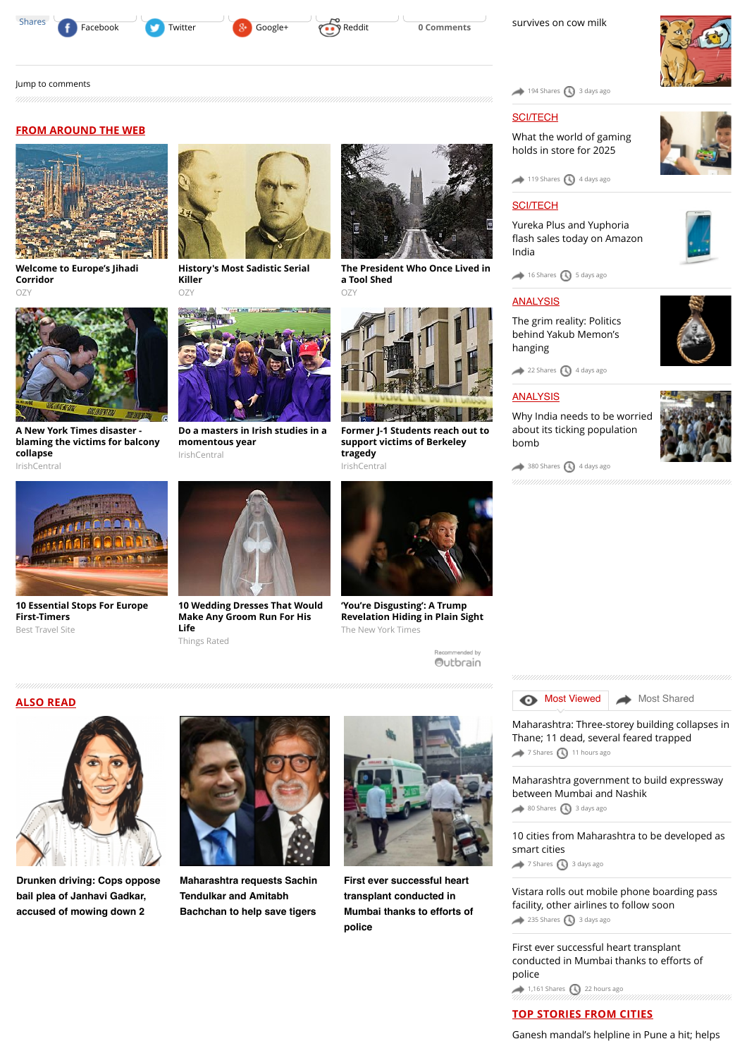

**FROM AROUND THE WEB**

**[Welcome to Europe's Jihadi](http://www.ozy.com/fast-forward/welcome-to-europes-jihadi-corridor/60342?utm_source=Outbrain&utm_medium=CPC&utm_campaign=INTL%20-%20All%20Clicks%20ALL%20Devices)**

**Corridor** OZ)

**collapse** IrishCentral

[Jump to comments](http://www.dnaindia.com/mumbai/report-2-terrorists-killed-2-arrested-in-mumbai-1209691#comments)





 $194$  Shares  $\bigcirc$  [3 days ago](http://www.dnaindia.com/mumbai/report-2-terrorists-killed-2-arrested-in-mumbai-1209691#)

# **[SCI/TECH](http://www.dnaindia.com/scitech)**

[What the world of gaming](http://www.dnaindia.com/scitech/report-immersion-is-the-name-of-the-game-2109432) holds in store for 2025

 $119$  Shares  $\bigodot$  [4 days ago](http://www.dnaindia.com/mumbai/report-2-terrorists-killed-2-arrested-in-mumbai-1209691#)

# [SCI/TECH](http://www.dnaindia.com/scitech)

Yureka Plus and Yuphoria fl[ash sales today on Amazon](http://www.dnaindia.com/scitech/report-yureka-plus-and-yuphoria-flash-sales-today-on-amazon-india-2109499) India



#### **[ANALYSIS](http://www.dnaindia.com/analysis)**

[The grim reality: Politics](http://www.dnaindia.com/analysis/editorial-the-grim-reality-politics-behind-yakub-memon-s-hanging-2109659) behind Yakub Memon's hanging

[22 Shares](http://www.dnaindia.com/mumbai/report-2-terrorists-killed-2-arrested-in-mumbai-1209691#) [4 days ago](http://www.dnaindia.com/mumbai/report-2-terrorists-killed-2-arrested-in-mumbai-1209691#)

#### **[ANALYSIS](http://www.dnaindia.com/analysis)**

[Why India needs to be worried](http://www.dnaindia.com/analysis/editorial-dnaedit-population-bomb-2109662) about its ticking population bomb









**A New York Times disaster -**

**[10 Essential Stops For Europe](http://travel-gist.com/10-essential-stops-for-europe-first-timers/) First-Timers**



**[History's Most Sadistic Serial](http://www.ozy.com/flashback/historys-most-sadistic-serial-killer/40585?utm_source=Outbrain&utm_medium=CPC&utm_campaign=INTL%20-%20All%20Clicks%20ALL%20Devices) Killer** OZY



**[Do a masters in Irish studies in a](http://www.irishcentral.com/news/education/Do-a-masters-in-Irish-studies-in-a-momentous-year.html?utm_source=outbrain&utm_medium=content&utm_campaign=paid) momentous year**



**[The President Who Once Lived in](http://www.ozy.com/flashback/the-president-who-once-lived-in-a-tool-shed/41422?utm_source=Outbrain&utm_medium=CPC&utm_campaign=INTL%20-%20All%20Clicks%20ALL%20Devices)**

**[Former J-1 Students reach out to](http://www.irishcentral.com/news/Former-J-1-Students-reach-out-to-support-victims-of-Berkeley-tragedy.html?utm_source=outbrain&utm_medium=content&utm_campaign=paid) support victims of Berkeley tragedy** IrishCentral



Best Travel Site

**ALSO READ**



**[10 Wedding Dresses That Would](http://thingsrated.com/2015/06/25/10-wedding-dresses-that-would-make-any-groom-run-for-his-life/?utm_source=outbrain&utm_medium=cpc&utm_campaign=outbrain_top10_DE&utm_term=4777563) Make Any Groom Run For His Life** Things Rated



**'You're Disgusting': A Trump [Revelation Hiding in Plain Sight](http://www.nytimes.com/times-insider/2015/07/29/youre-disgusting-a-trump-revelation-hiding-in-plain-sight/?WT.mc_id=2015-AUGUST-OTB-INTL_AUD_DEV-0801-0831&WT.mc_ev=click&ad-keywords=IntlAudDev)** The New York Times

ecommended by Outbrain

**[Most Viewed](http://www.dnaindia.com/mumbai/report-2-terrorists-killed-2-arrested-in-mumbai-1209691#mostviewed) [Most Shared](http://www.dnaindia.com/mumbai/report-2-terrorists-killed-2-arrested-in-mumbai-1209691#mostshared)** 

[Maharashtra: Three-storey building collapses in](http://www.dnaindia.com/mumbai/report-maharashtra-three-storey-building-collapses-in-thane-11-dead-several-feared-trapped-2110890) Thane; 11 dead, several feared trapped [7 Shares](http://www.dnaindia.com/mumbai/report-2-terrorists-killed-2-arrested-in-mumbai-1209691#) [11 hours ago](http://www.dnaindia.com/mumbai/report-2-terrorists-killed-2-arrested-in-mumbai-1209691#)

[Maharashtra government to build expressway](http://www.dnaindia.com/mumbai/report-maharashtra-government-to-build-expressway-between-mumbai-and-nashik-2109935) between Mumbai and Nashik

 $\leftrightarrow$  [80 Shares](http://www.dnaindia.com/mumbai/report-2-terrorists-killed-2-arrested-in-mumbai-1209691#)  $\bigcirc$  [3 days ago](http://www.dnaindia.com/mumbai/report-2-terrorists-killed-2-arrested-in-mumbai-1209691#)

[10 cities from Maharashtra to be developed as](http://www.dnaindia.com/mumbai/report-10-cities-from-maharashtra-to-be-developed-as-smart-cities-2109979) smart cities

[7 Shares](http://www.dnaindia.com/mumbai/report-2-terrorists-killed-2-arrested-in-mumbai-1209691#) [3 days ago](http://www.dnaindia.com/mumbai/report-2-terrorists-killed-2-arrested-in-mumbai-1209691#)

[Vistara rolls out mobile phone boarding pass](http://www.dnaindia.com/mumbai/report-vistara-rolls-out-mobile-phone-boarding-pass-facility-other-airlines-to-follow-soon-2109930) facility, other airlines to follow soon  $235$  Shares  $\bigodot$  [3 days ago](http://www.dnaindia.com/mumbai/report-2-terrorists-killed-2-arrested-in-mumbai-1209691#)

[First ever successful heart transplant](http://www.dnaindia.com/mumbai/report-first-ever-successful-heart-transplant-conducted-in-mumbai-thanks-to-efforts-of-police-2110832) conducted in Mumbai thanks to efforts of police

 $1,161$  Shares  $\bigcirc$  [22 hours ago](http://www.dnaindia.com/mumbai/report-2-terrorists-killed-2-arrested-in-mumbai-1209691#)

# **TOP STORIES FROM CITIES**

[Ganesh mandal's helpline in Pune a hit; helps](http://www.dnaindia.com/pune/report-ganesh-mandal-s-helpline-in-pune-a-hit-helps-residents-with-everyday-services-2111012)



**[Drunken driving: Cops oppose](http://www.dnaindia.com/mumbai/report-drunken-driving-cops-oppose-bail-plea-of-janhavi-gadkar-accused-of-mowing-down-2-2110873) bail plea of Janhavi Gadkar, accused of mowing down 2**



**[Maharashtra requests Sachin](http://www.dnaindia.com/mumbai/report-maharashtra-requests-sachin-tendulkar-and-amitabh-bachchan-to-help-save-tigers-2110838) Tendulkar and Amitabh Bachchan to help save tigers**



**First ever successful heart transplant conducted in [Mumbai thanks to efforts of](http://www.dnaindia.com/mumbai/report-first-ever-successful-heart-transplant-conducted-in-mumbai-thanks-to-efforts-of-police-2110832) police**

**[blaming the victims for balcony](http://www.irishcentral.com/opinion/cahirodoherty/A-New-York-Times-disaster---blaming-the-victims-for-balcony-collapse.html?utm_source=outbrain&utm_medium=content&utm_campaign=paid)** IrishCentral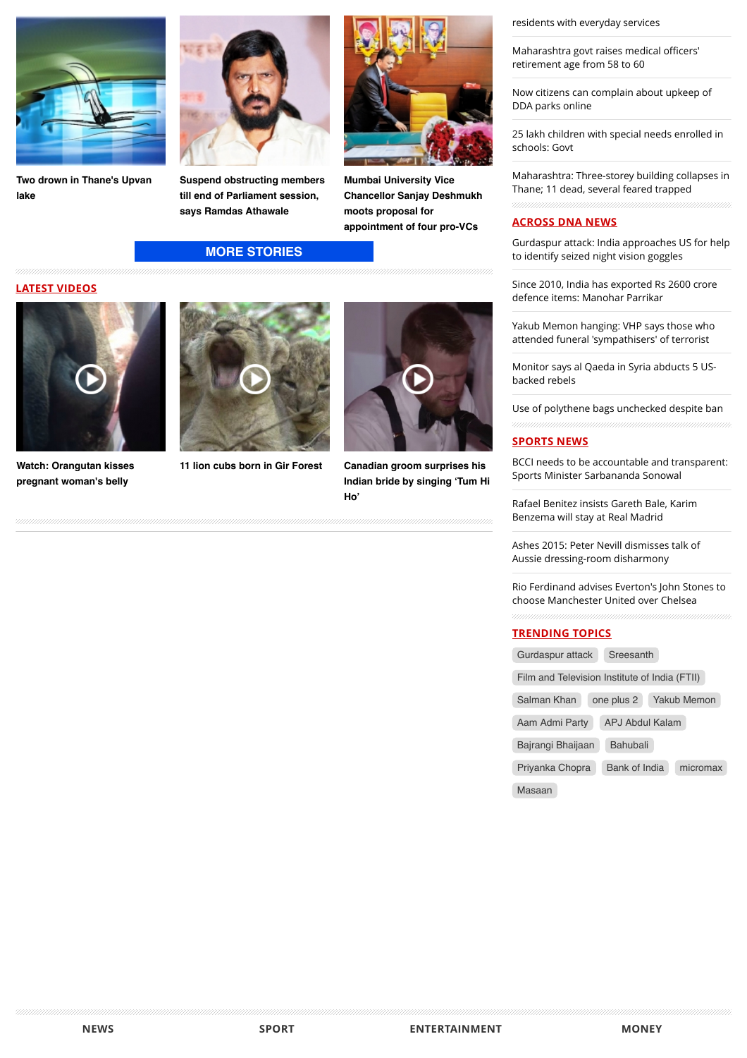

**[Two drown in Thane's Upvan](http://www.dnaindia.com/mumbai/report-two-drown-in-thane-s-upvan-lake-2110740) lake**



**[Suspend obstructing members](http://www.dnaindia.com/mumbai/report-suspend-obstructing-members-till-end-of-parliament-session-says-ramdas-athawale-2110708) till end of Parliament session, says Ramdas Athawale**

# **[MORE STORIES](http://www.dnaindia.com/mumbai)**





**[Watch: Orangutan kisses](http://www.dnaindia.com/world/video-watch-orangutan-kisses-pregnant-woman-s-belly-2109068) pregnant woman's belly**





**Mumbai University Vice [Chancellor Sanjay Deshmukh](http://www.dnaindia.com/mumbai/report-mumbai-university-vice-chancellor-sanjay-deshmukh-moots-proposal-for-appointment-of-four-pro-vcs-2110578) moots proposal for appointment of four pro-VCs**

**[11 lion cubs born in Gir Forest](http://www.dnaindia.com/india/video-11-lion-cubs-born-in-gir-forest-2105493) Canadian groom surprises his [Indian bride by singing 'Tum Hi](http://www.dnaindia.com/world/video-canadian-groom-surprises-his-indian-bride-by-singing-tum-hi-ho-2104831) Ho'**

[residents with everyday services](http://www.dnaindia.com/pune/report-ganesh-mandal-s-helpline-in-pune-a-hit-helps-residents-with-everyday-services-2111012)

[Maharashtra govt raises medical o](http://www.dnaindia.com/mumbai/report-maharashtra-govt-raises-medical-officers-retirement-age-from-58-to-60-2110999)fficers' retirement age from 58 to 60

[Now citizens can complain about upkeep of](http://www.dnaindia.com/delhi/report-now-citizens-can-complain-about-upkeep-of-dda-parks-online-2110992) DDA parks online

[25 lakh children with special needs enrolled in](http://www.dnaindia.com/delhi/report-25-lakh-children-with-special-needs-enrolled-in-schools-govt-2110985) schools: Govt

[Maharashtra: Three-storey building collapses in](http://www.dnaindia.com/mumbai/report-maharashtra-three-storey-building-collapses-in-thane-11-dead-several-feared-trapped-2110890) Thane; 11 dead, several feared trapped

# **ACROSS DNA NEWS**

[Gurdaspur attack: India approaches US for help](http://www.dnaindia.com/india/report-gurdaspur-attack-india-approaches-us-for-help-to-identify-seized-night-vision-goggles-2111093) to identify seized night vision goggles

[Since 2010, India has exported Rs 2600 crore](http://www.dnaindia.com/india/report-since-2010-india-has-exported-rs-2600-crore-defence-items-manohar-parrikar-2111094) defence items: Manohar Parrikar

[Yakub Memon hanging: VHP says those who](http://www.dnaindia.com/india/report-yakub-memon-hanging-vhp-says-those-who-attended-funeral-sympathisers-of-terrorist-2111077) attended funeral 'sympathisers' of terrorist

[Monitor says al Qaeda in Syria abducts 5 US](http://www.dnaindia.com/world/report-monitor-says-al-qaeda-in-syria-abducts-5-us-backed-rebels-2111083)backed rebels

[Use of polythene bags unchecked despite ban](http://www.dnaindia.com/india/report-use-of-polythene-bags-unchecked-despite-ban-2111081)

#### **SPORTS NEWS**

[BCCI needs to be accountable and transparent:](http://www.dnaindia.com/sport/report-bcci-needs-to-be-accountable-and-transparent-sports-minister-sarbananda-sonowal-2111038) Sports Minister Sarbananda Sonowal

[Rafael Benitez insists Gareth Bale, Karim](http://www.dnaindia.com/sport/report-rafael-benitez-insists-gareth-bale-karim-benzema-will-stay-at-real-madrid-2110989) Benzema will stay at Real Madrid

[Ashes 2015: Peter Nevill dismisses talk of](http://www.dnaindia.com/sport/report-ashes-2015-peter-nevill-dismisses-talk-of-aussie-dressing-room-disharmony-2110984) Aussie dressing-room disharmony

[Rio Ferdinand advises Everton's John Stones to](http://www.dnaindia.com/sport/report-rio-ferdinand-advises-everton-s-john-stones-to-choose-manchester-united-over-chelsea-2110968) choose Manchester United over Chelsea

#### **TRENDING TOPICS**

[Gurdaspur attack](http://www.dnaindia.com/topic/gurdaspur-attack) [Sreesanth](http://www.dnaindia.com/topic/sreesanth)

[Film and Television Institute of India \(FTII\)](http://www.dnaindia.com/topic/film-and-television-institute-of-india-ftii)

[Salman Khan](http://www.dnaindia.com/topic/salman-khan) [one plus 2](http://www.dnaindia.com/topic/one-plus-2) [Yakub Memon](http://www.dnaindia.com/topic/yakub-memon)

[Aam Admi Party](http://www.dnaindia.com/topic/aam-admi-party) [APJ Abdul Kalam](http://www.dnaindia.com/topic/apj-abdul-kalam)

[Bajrangi Bhaijaan](http://www.dnaindia.com/topic/bajrangi-bhaijaan) [Bahubali](http://www.dnaindia.com/topic/bahubali)

[Priyanka Chopra](http://www.dnaindia.com/topic/priyanka-chopra) [Bank of India](http://www.dnaindia.com/topic/bank-of-india) [micromax](http://www.dnaindia.com/topic/micromax)

[Masaan](http://www.dnaindia.com/topic/masaan)